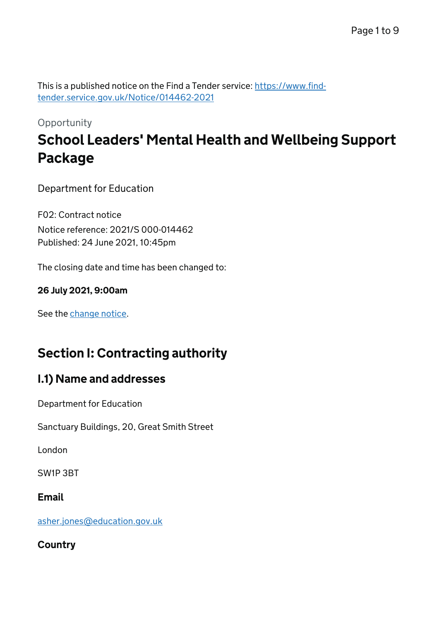This is a published notice on the Find a Tender service: [https://www.find](https://www.find-tender.service.gov.uk/Notice/014462-2021)[tender.service.gov.uk/Notice/014462-2021](https://www.find-tender.service.gov.uk/Notice/014462-2021)

# **Opportunity** School Leaders' Mental Health and Wellbeing Support Package

Department for Education

F02: Contract notice Notice reference: 2021/S 000-014462 Published: 24 June 2021, 10:45pm

The closing date and time has been changed to:

#### 26 July 2021, 9:00am

See the [change notice.](https://www.find-tender.service.gov.uk/Notice/014613-2021)

# Section I: Contracting authority

# I.1) Name and addresses

Department for Education

Sanctuary Buildings, 20, Great Smith Street

London

SW1P 3BT

#### Email

[asher.jones@education.gov.uk](mailto:asher.jones@education.gov.uk)

**Country**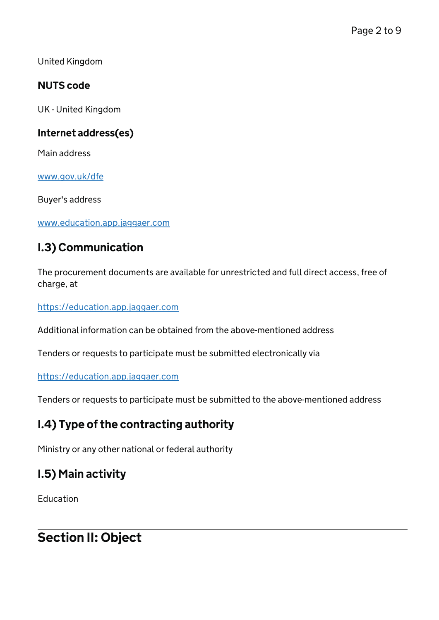United Kingdom

### NUTS code

UK - United Kingdom

### Internet address(es)

Main address

[www.gov.uk/dfe](http://www.gov.uk/dfe)

Buyer's address

[www.education.app.jaggaer.com](http://www.education.app.jaggaer.com)

# I.3) Communication

The procurement documents are available for unrestricted and full direct access, free of charge, at

<https://education.app.jaggaer.com>

Additional information can be obtained from the above-mentioned address

Tenders or requests to participate must be submitted electronically via

#### <https://education.app.jaggaer.com>

Tenders or requests to participate must be submitted to the above-mentioned address

## I.4) Type of the contracting authority

Ministry or any other national or federal authority

# I.5) Main activity

Education

# Section II: Object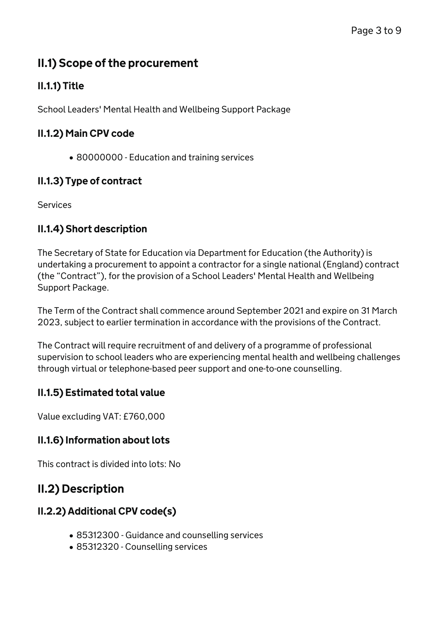# II.1) Scope of the procurement

# II.1.1) Title

School Leaders' Mental Health and Wellbeing Support Package

### II.1.2) Main CPV code

• 80000000 - Education and training services

# II.1.3) Type of contract

Services

## II.1.4) Short description

The Secretary of State for Education via Department for Education (the Authority) is undertaking a procurement to appoint a contractor for a single national (England) contract (the "Contract"), for the provision of a School Leaders' Mental Health and Wellbeing Support Package.

The Term of the Contract shall commence around September 2021 and expire on 31 March 2023, subject to earlier termination in accordance with the provisions of the Contract.

The Contract will require recruitment of and delivery of a programme of professional supervision to school leaders who are experiencing mental health and wellbeing challenges through virtual or telephone-based peer support and one-to-one counselling.

### II.1.5) Estimated total value

Value excluding VAT: £760,000

### II.1.6) Information about lots

This contract is divided into lots: No

# II.2) Description

## II.2.2) Additional CPV code(s)

- 85312300 Guidance and counselling services
- 85312320 Counselling services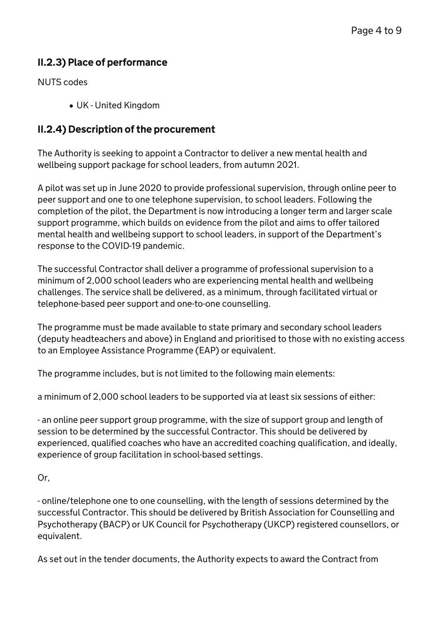### II.2.3) Place of performance

NUTS codes

UK - United Kingdom

### II.2.4) Description of the procurement

The Authority is seeking to appoint a Contractor to deliver a new mental health and wellbeing support package for school leaders, from autumn 2021.

A pilot was set up in June 2020 to provide professional supervision, through online peer to peer support and one to one telephone supervision, to school leaders. Following the completion of the pilot, the Department is now introducing a longer term and larger scale support programme, which builds on evidence from the pilot and aims to offer tailored mental health and wellbeing support to school leaders, in support of the Department's response to the COVID-19 pandemic.

The successful Contractor shall deliver a programme of professional supervision to a minimum of 2,000 school leaders who are experiencing mental health and wellbeing challenges. The service shall be delivered, as a minimum, through facilitated virtual or telephone-based peer support and one-to-one counselling.

The programme must be made available to state primary and secondary school leaders (deputy headteachers and above) in England and prioritised to those with no existing access to an Employee Assistance Programme (EAP) or equivalent.

The programme includes, but is not limited to the following main elements:

a minimum of 2,000 school leaders to be supported via at least six sessions of either:

- an online peer support group programme, with the size of support group and length of session to be determined by the successful Contractor. This should be delivered by experienced, qualified coaches who have an accredited coaching qualification, and ideally, experience of group facilitation in school-based settings.

#### Or,

- online/telephone one to one counselling, with the length of sessions determined by the successful Contractor. This should be delivered by British Association for Counselling and Psychotherapy (BACP) or UK Council for Psychotherapy (UKCP) registered counsellors, or equivalent.

As set out in the tender documents, the Authority expects to award the Contract from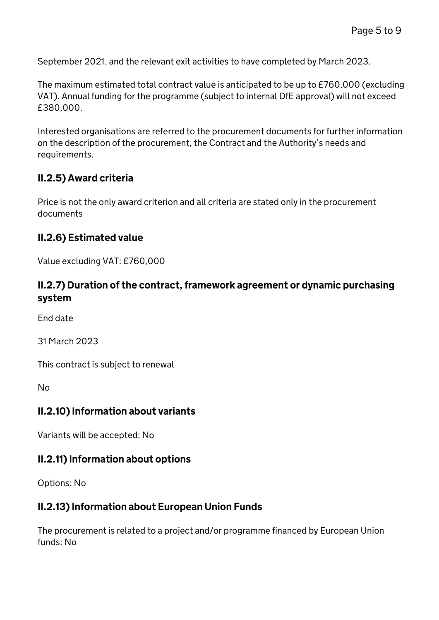September 2021, and the relevant exit activities to have completed by March 2023.

The maximum estimated total contract value is anticipated to be up to £760,000 (excluding VAT). Annual funding for the programme (subject to internal DfE approval) will not exceed £380,000.

Interested organisations are referred to the procurement documents for further information on the description of the procurement, the Contract and the Authority's needs and requirements.

### II.2.5) Award criteria

Price is not the only award criterion and all criteria are stated only in the procurement documents

#### II.2.6) Estimated value

Value excluding VAT: £760,000

#### II.2.7) Duration of the contract, framework agreement or dynamic purchasing system

End date

31 March 2023

This contract is subject to renewal

No

#### II.2.10) Information about variants

Variants will be accepted: No

#### II.2.11) Information about options

Options: No

#### II.2.13) Information about European Union Funds

The procurement is related to a project and/or programme financed by European Union funds: No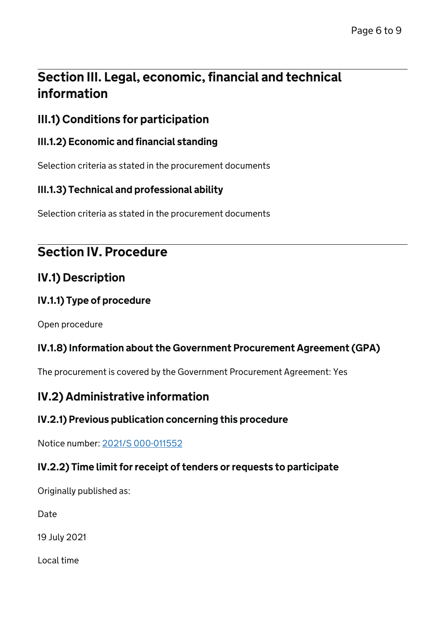# Section III. Legal, economic, financial and technical information

# III.1) Conditions for participation

### III.1.2) Economic and financial standing

Selection criteria as stated in the procurement documents

### III.1.3) Technical and professional ability

Selection criteria as stated in the procurement documents

# Section IV. Procedure

# IV.1) Description

#### IV.1.1) Type of procedure

Open procedure

### IV.1.8) Information about the Government Procurement Agreement (GPA)

The procurement is covered by the Government Procurement Agreement: Yes

# IV.2) Administrative information

### IV.2.1) Previous publication concerning this procedure

Notice number: [2021/S 000-011552](/Notice/011552-2021)

### IV.2.2) Time limit for receipt of tenders or requests to participate

Originally published as:

Date

19 July 2021

Local time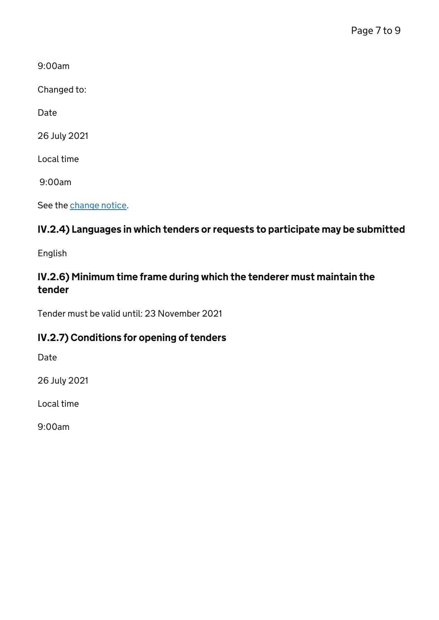9:00am

Changed to:

Date

26 July 2021

Local time

9:00am

See the [change notice.](https://www.find-tender.service.gov.uk/Notice/014613-2021)

# IV.2.4) Languages in which tenders or requests to participate may be submitted

English

### IV.2.6) Minimum time frame during which the tenderer must maintain the tender

Tender must be valid until: 23 November 2021

## IV.2.7) Conditions for opening of tenders

Date

26 July 2021

Local time

9:00am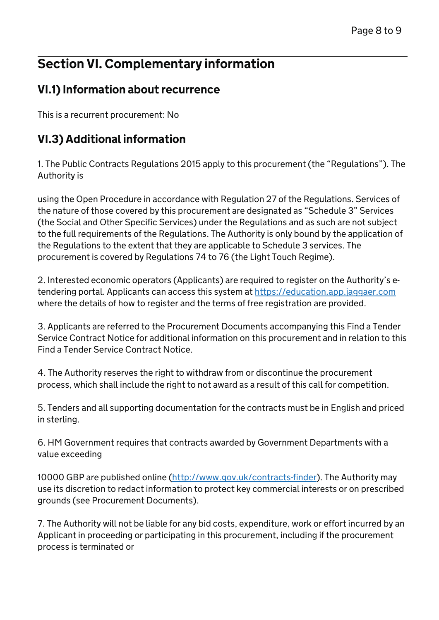# Section VI. Complementary information

# VI.1) Information about recurrence

This is a recurrent procurement: No

# VI.3) Additional information

1. The Public Contracts Regulations 2015 apply to this procurement (the "Regulations"). The Authority is

using the Open Procedure in accordance with Regulation 27 of the Regulations. Services of the nature of those covered by this procurement are designated as "Schedule 3" Services (the Social and Other Specific Services) under the Regulations and as such are not subject to the full requirements of the Regulations. The Authority is only bound by the application of the Regulations to the extent that they are applicable to Schedule 3 services. The procurement is covered by Regulations 74 to 76 (the Light Touch Regime).

2. Interested economic operators (Applicants) are required to register on the Authority's etendering portal. Applicants can access this system at<https://education.app.jaggaer.com> where the details of how to register and the terms of free registration are provided.

3. Applicants are referred to the Procurement Documents accompanying this Find a Tender Service Contract Notice for additional information on this procurement and in relation to this Find a Tender Service Contract Notice.

4. The Authority reserves the right to withdraw from or discontinue the procurement process, which shall include the right to not award as a result of this call for competition.

5. Tenders and all supporting documentation for the contracts must be in English and priced in sterling.

6. HM Government requires that contracts awarded by Government Departments with a value exceeding

10000 GBP are published online (<http://www.gov.uk/contracts-finder>). The Authority may use its discretion to redact information to protect key commercial interests or on prescribed grounds (see Procurement Documents).

7. The Authority will not be liable for any bid costs, expenditure, work or effort incurred by an Applicant in proceeding or participating in this procurement, including if the procurement process is terminated or